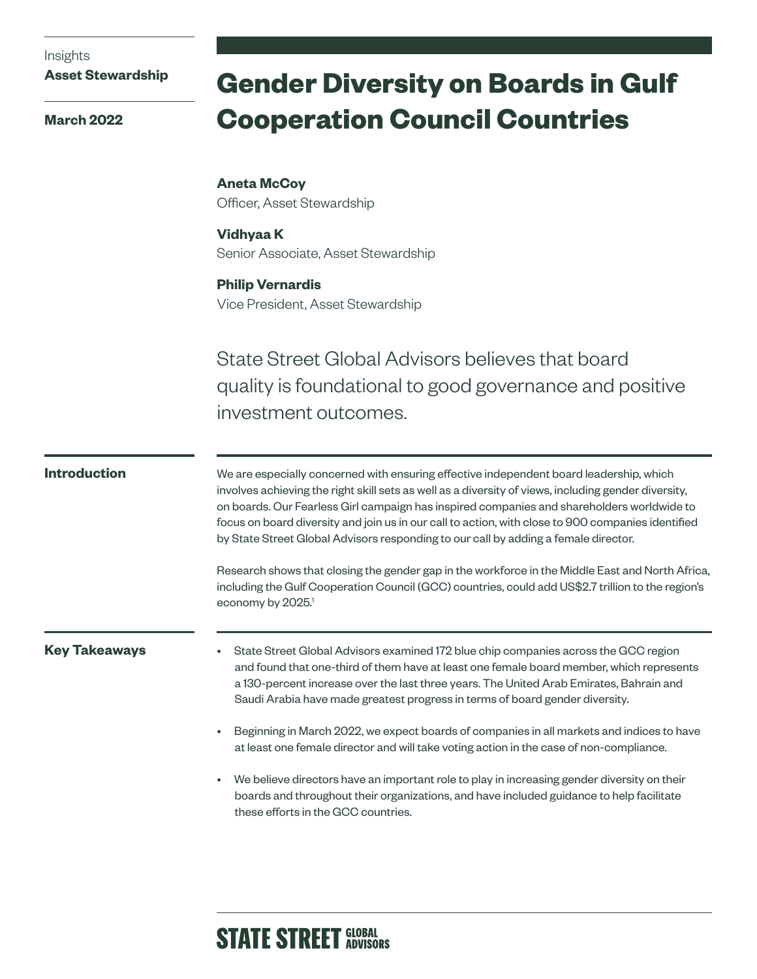Insights

**Asset Stewardship**

**March 2022**

# **Gender Diversity on Boards in Gulf Cooperation Council Countries**

**Aneta McCoy** Officer, Asset Stewardship

**Vidhyaa K** Senior Associate, Asset Stewardship

# **Philip Vernardis**

Vice President, Asset Stewardship

State Street Global Advisors believes that board quality is foundational to good governance and positive investment outcomes.

### **Introduction**

We are especially concerned with ensuring effective independent board leadership, which involves achieving the right skill sets as well as a diversity of views, including gender diversity, on boards. Our Fearless Girl campaign has inspired companies and shareholders worldwide to focus on board diversity and join us in our call to action, with close to 900 companies identified by State Street Global Advisors responding to our call by adding a female director.

Research shows that closing the gender gap in the workforce in the Middle East and North Africa, including the Gulf Cooperation Council (GCC) countries, could add US\$2.7 trillion to the region's economy by 2025.<sup>1</sup>

#### **Key Takeaways**

- State Street Global Advisors examined 172 blue chip companies across the GCC region and found that one-third of them have at least one female board member, which represents a 130-percent increase over the last three years. The United Arab Emirates, Bahrain and Saudi Arabia have made greatest progress in terms of board gender diversity.
- Beginning in March 2022, we expect boards of companies in all markets and indices to have at least one female director and will take voting action in the case of non-compliance.
- We believe directors have an important role to play in increasing gender diversity on their boards and throughout their organizations, and have included guidance to help facilitate these efforts in the GCC countries.

# **STATE STREET GLOBAL**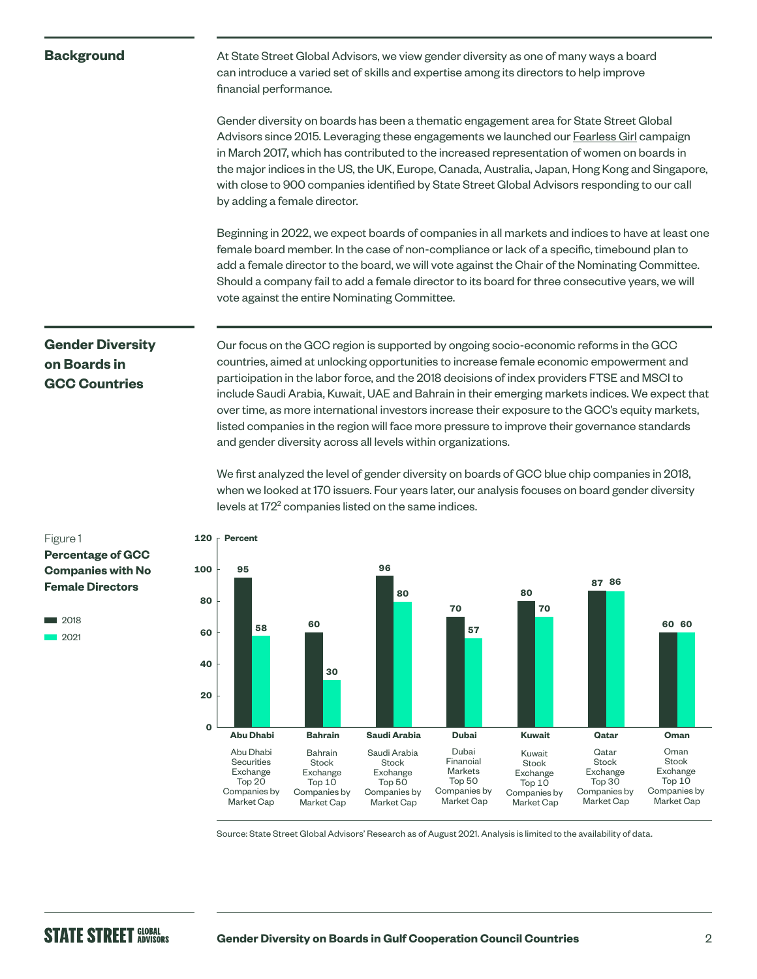#### **Background**

At State Street Global Advisors, we view gender diversity as one of many ways a board can introduce a varied set of skills and expertise among its directors to help improve financial performance.

Gender diversity on boards has been a thematic engagement area for State Street Global Advisors since 2015. Leveraging these engagements we launched our [Fearless Girl](https://www.ssga.com/us/en/institutional/etfs/capabilities/esg/asset-stewardship/fearless-girl) campaign in March 2017, which has contributed to the increased representation of women on boards in the major indices in the US, the UK, Europe, Canada, Australia, Japan, Hong Kong and Singapore, with close to 900 companies identified by State Street Global Advisors responding to our call by adding a female director.

Beginning in 2022, we expect boards of companies in all markets and indices to have at least one female board member. In the case of non-compliance or lack of a specific, timebound plan to add a female director to the board, we will vote against the Chair of the Nominating Committee. Should a company fail to add a female director to its board for three consecutive years, we will vote against the entire Nominating Committee.

## **Gender Diversity on Boards in GCC Countries**

Our focus on the GCC region is supported by ongoing socio-economic reforms in the GCC countries, aimed at unlocking opportunities to increase female economic empowerment and participation in the labor force, and the 2018 decisions of index providers FTSE and MSCI to include Saudi Arabia, Kuwait, UAE and Bahrain in their emerging markets indices. We expect that over time, as more international investors increase their exposure to the GCC's equity markets, listed companies in the region will face more pressure to improve their governance standards and gender diversity across all levels within organizations.

We first analyzed the level of gender diversity on boards of GCC blue chip companies in 2018, when we looked at 170 issuers. Four years later, our analysis focuses on board gender diversity levels at 172<sup>2</sup> companies listed on the same indices.



Source: State Street Global Advisors' Research as of August 2021. Analysis is limited to the availability of data.

#### Figure 1 **Percentage of GCC Companies with No Female Directors**

■ 2018 2021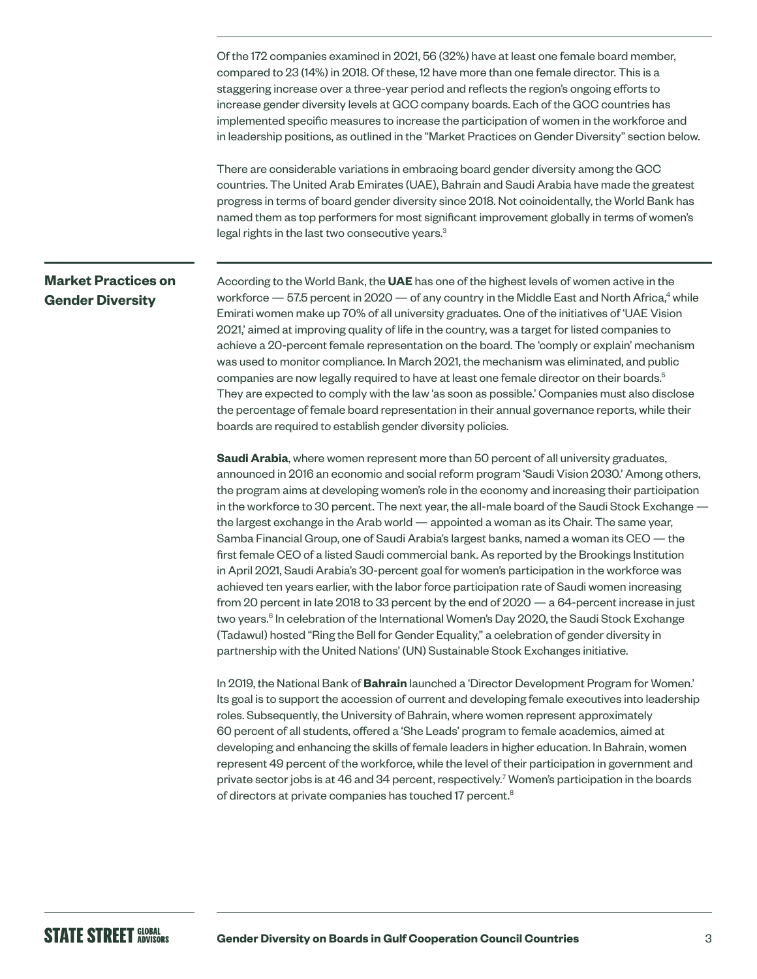Of the 172 companies examined in 2021, 56 (32%) have at least one female board member, compared to 23 (14%) in 2018. Of these, 12 have more than one female director. This is a staggering increase over a three-year period and reflects the region's ongoing efforts to increase gender diversity levels at GCC company boards. Each of the GCC countries has implemented specific measures to increase the participation of women in the workforce and in leadership positions, as outlined in the "Market Practices on Gender Diversity" section below.

There are considerable variations in embracing board gender diversity among the GCC countries. The United Arab Emirates (UAE), Bahrain and Saudi Arabia have made the greatest progress in terms of board gender diversity since 2018. Not coincidentally, the World Bank has named them as top performers for most significant improvement globally in terms of women's legal rights in the last two consecutive years.<sup>3</sup>

### **Market Practices on Gender Diversity**

According to the World Bank, the **UAE** has one of the highest levels of women active in the workforce  $-57.5$  percent in 2020  $-$  of any country in the Middle East and North Africa,<sup>4</sup> while Emirati women make up 70% of all university graduates. One of the initiatives of 'UAE Vision 2021,' aimed at improving quality of life in the country, was a target for listed companies to achieve a 20-percent female representation on the board. The 'comply or explain' mechanism was used to monitor compliance. In March 2021, the mechanism was eliminated, and public companies are now legally required to have at least one female director on their boards.<sup>5</sup> They are expected to comply with the law 'as soon as possible.' Companies must also disclose the percentage of female board representation in their annual governance reports, while their boards are required to establish gender diversity policies.

**Saudi Arabia**, where women represent more than 50 percent of all university graduates, announced in 2016 an economic and social reform program 'Saudi Vision 2030.' Among others, the program aims at developing women's role in the economy and increasing their participation in the workforce to 30 percent. The next year, the all-male board of the Saudi Stock Exchange the largest exchange in the Arab world — appointed a woman as its Chair. The same year, Samba Financial Group, one of Saudi Arabia's largest banks, named a woman its CEO — the first female CEO of a listed Saudi commercial bank. As reported by the Brookings Institution in April 2021, Saudi Arabia's 30-percent goal for women's participation in the workforce was achieved ten years earlier, with the labor force participation rate of Saudi women increasing from 20 percent in late 2018 to 33 percent by the end of 2020 — a 64-percent increase in just two years.<sup>6</sup> In celebration of the International Women's Day 2020, the Saudi Stock Exchange (Tadawul) hosted "Ring the Bell for Gender Equality," a celebration of gender diversity in partnership with the United Nations' (UN) Sustainable Stock Exchanges initiative.

In 2019, the National Bank of **Bahrain** launched a 'Director Development Program for Women.' Its goal is to support the accession of current and developing female executives into leadership roles. Subsequently, the University of Bahrain, where women represent approximately 60 percent of all students, offered a 'She Leads' program to female academics, aimed at developing and enhancing the skills of female leaders in higher education. In Bahrain, women represent 49 percent of the workforce, while the level of their participation in government and private sector jobs is at 46 and 34 percent, respectively.<sup>7</sup> Women's participation in the boards of directors at private companies has touched 17 percent.<sup>8</sup>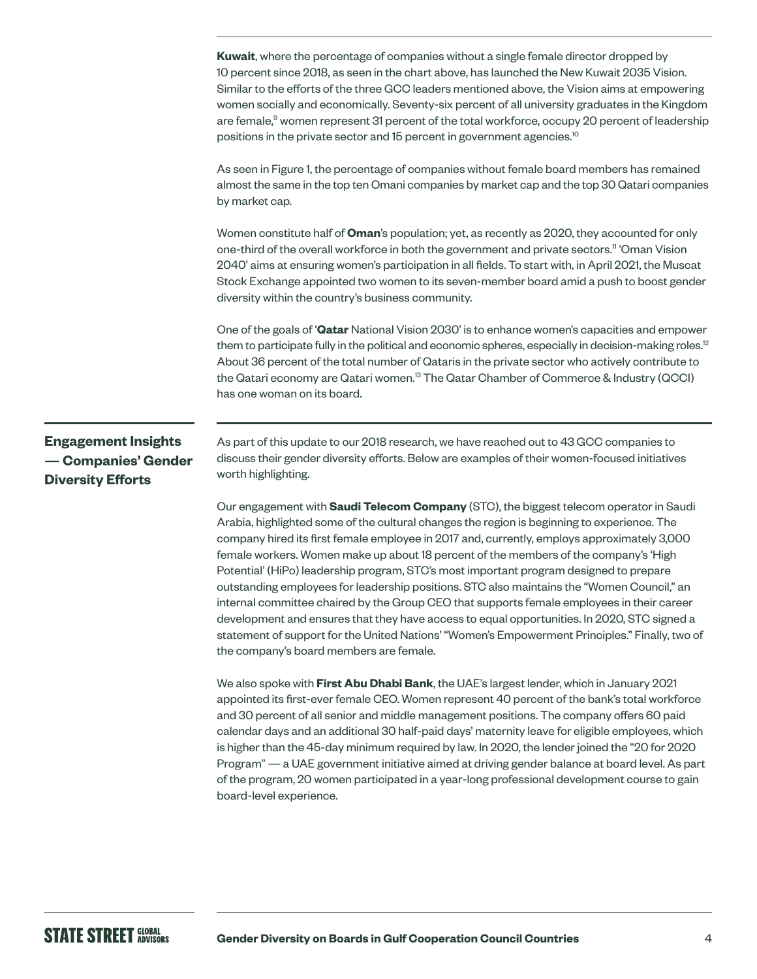**Kuwait**, where the percentage of companies without a single female director dropped by 10 percent since 2018, as seen in the chart above, has launched the New Kuwait 2035 Vision. Similar to the efforts of the three GCC leaders mentioned above, the Vision aims at empowering women socially and economically. Seventy-six percent of all university graduates in the Kingdom are female,<sup>9</sup> women represent 31 percent of the total workforce, occupy 20 percent of leadership positions in the private sector and 15 percent in government agencies.10

As seen in Figure 1, the percentage of companies without female board members has remained almost the same in the top ten Omani companies by market cap and the top 30 Qatari companies by market cap.

Women constitute half of **Oman**'s population; yet, as recently as 2020, they accounted for only one-third of the overall workforce in both the government and private sectors.<sup>11</sup> 'Oman Vision 2040' aims at ensuring women's participation in all fields. To start with, in April 2021, the Muscat Stock Exchange appointed two women to its seven-member board amid a push to boost gender diversity within the country's business community.

One of the goals of '**Qatar** National Vision 2030' is to enhance women's capacities and empower them to participate fully in the political and economic spheres, especially in decision-making roles.<sup>12</sup> About 36 percent of the total number of Qataris in the private sector who actively contribute to the Qatari economy are Qatari women.<sup>13</sup> The Qatar Chamber of Commerce & Industry (QCCI) has one woman on its board.

### **Engagement Insights — Companies' Gender Diversity Efforts**

As part of this update to our 2018 research, we have reached out to 43 GCC companies to discuss their gender diversity efforts. Below are examples of their women-focused initiatives worth highlighting.

Our engagement with **Saudi Telecom Company** (STC), the biggest telecom operator in Saudi Arabia, highlighted some of the cultural changes the region is beginning to experience. The company hired its first female employee in 2017 and, currently, employs approximately 3,000 female workers. Women make up about 18 percent of the members of the company's 'High Potential' (HiPo) leadership program, STC's most important program designed to prepare outstanding employees for leadership positions. STC also maintains the "Women Council," an internal committee chaired by the Group CEO that supports female employees in their career development and ensures that they have access to equal opportunities. In 2020, STC signed a statement of support for the United Nations' "Women's Empowerment Principles." Finally, two of the company's board members are female.

We also spoke with **First Abu Dhabi Bank**, the UAE's largest lender, which in January 2021 appointed its first-ever female CEO. Women represent 40 percent of the bank's total workforce and 30 percent of all senior and middle management positions. The company offers 60 paid calendar days and an additional 30 half-paid days' maternity leave for eligible employees, which is higher than the 45-day minimum required by law. In 2020, the lender joined the "20 for 2020 Program" — a UAE government initiative aimed at driving gender balance at board level. As part of the program, 20 women participated in a year-long professional development course to gain board-level experience.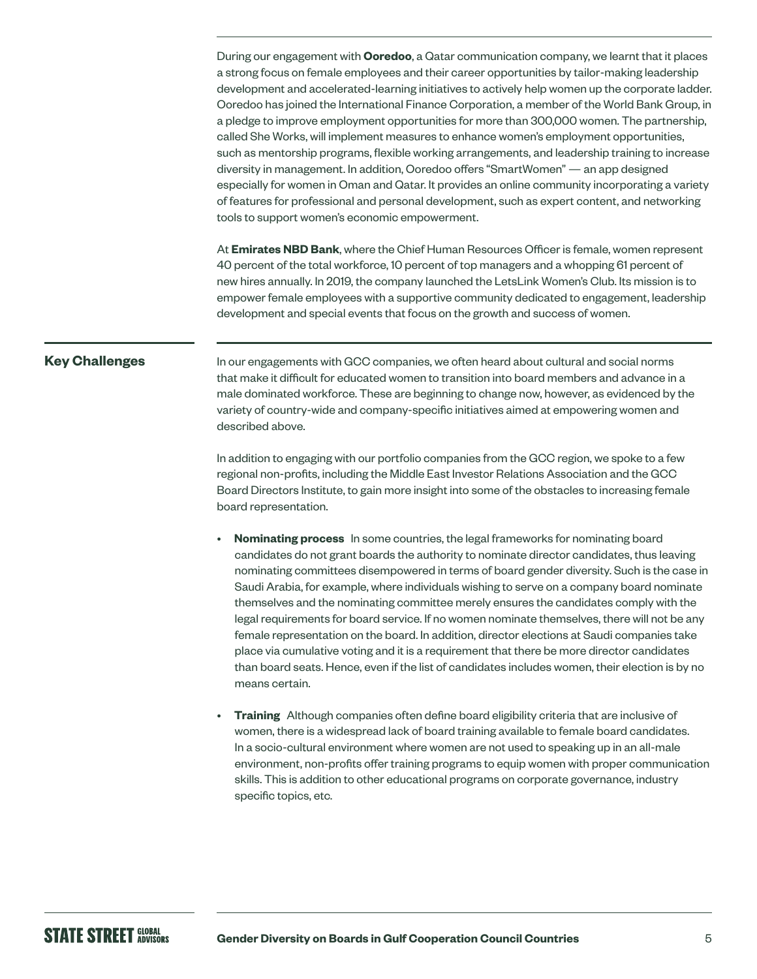During our engagement with **Ooredoo**, a Qatar communication company, we learnt that it places a strong focus on female employees and their career opportunities by tailor-making leadership development and accelerated-learning initiatives to actively help women up the corporate ladder. Ooredoo has joined the International Finance Corporation, a member of the World Bank Group, in a pledge to improve employment opportunities for more than 300,000 women. The partnership, called She Works, will implement measures to enhance women's employment opportunities, such as mentorship programs, flexible working arrangements, and leadership training to increase diversity in management. In addition, Ooredoo offers "SmartWomen" — an app designed especially for women in Oman and Qatar. It provides an online community incorporating a variety of features for professional and personal development, such as expert content, and networking tools to support women's economic empowerment.

At **Emirates NBD Bank**, where the Chief Human Resources Officer is female, women represent 40 percent of the total workforce, 10 percent of top managers and a whopping 61 percent of new hires annually. In 2019, the company launched the LetsLink Women's Club. Its mission is to empower female employees with a supportive community dedicated to engagement, leadership development and special events that focus on the growth and success of women.

#### **Key Challenges**

In our engagements with GCC companies, we often heard about cultural and social norms that make it difficult for educated women to transition into board members and advance in a male dominated workforce. These are beginning to change now, however, as evidenced by the variety of country-wide and company-specific initiatives aimed at empowering women and described above.

In addition to engaging with our portfolio companies from the GCC region, we spoke to a few regional non-profits, including the Middle East Investor Relations Association and the GCC Board Directors Institute, to gain more insight into some of the obstacles to increasing female board representation.

- **Nominating process** In some countries, the legal frameworks for nominating board candidates do not grant boards the authority to nominate director candidates, thus leaving nominating committees disempowered in terms of board gender diversity. Such is the case in Saudi Arabia, for example, where individuals wishing to serve on a company board nominate themselves and the nominating committee merely ensures the candidates comply with the legal requirements for board service. If no women nominate themselves, there will not be any female representation on the board. In addition, director elections at Saudi companies take place via cumulative voting and it is a requirement that there be more director candidates than board seats. Hence, even if the list of candidates includes women, their election is by no means certain.
- **Training** Although companies often define board eligibility criteria that are inclusive of women, there is a widespread lack of board training available to female board candidates. In a socio-cultural environment where women are not used to speaking up in an all-male environment, non-profits offer training programs to equip women with proper communication skills. This is addition to other educational programs on corporate governance, industry specific topics, etc.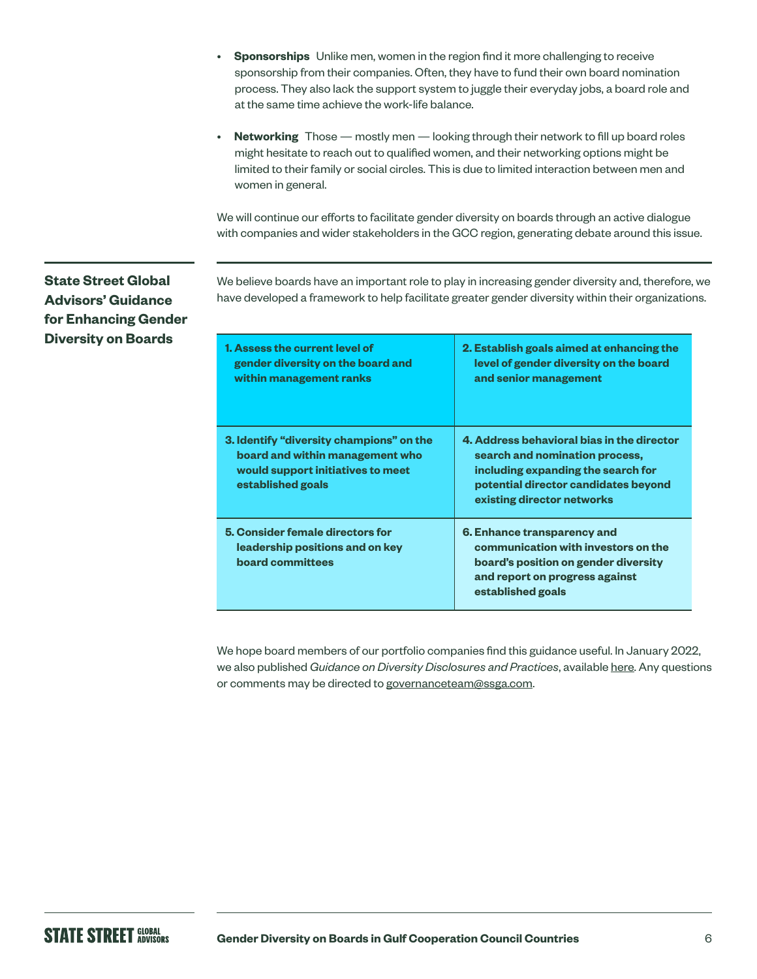- **Sponsorships** Unlike men, women in the region find it more challenging to receive sponsorship from their companies. Often, they have to fund their own board nomination process. They also lack the support system to juggle their everyday jobs, a board role and at the same time achieve the work-life balance.
- **Networking** Those mostly men looking through their network to fill up board roles might hesitate to reach out to qualified women, and their networking options might be limited to their family or social circles. This is due to limited interaction between men and women in general.

We will continue our efforts to facilitate gender diversity on boards through an active dialogue with companies and wider stakeholders in the GCC region, generating debate around this issue.

**State Street Global Advisors' Guidance for Enhancing Gender Diversity on Boards**

We believe boards have an important role to play in increasing gender diversity and, therefore, we have developed a framework to help facilitate greater gender diversity within their organizations.

| 1. Assess the current level of<br>gender diversity on the board and<br>within management ranks                                        | 2. Establish goals aimed at enhancing the<br>level of gender diversity on the board<br>and senior management                                                                             |
|---------------------------------------------------------------------------------------------------------------------------------------|------------------------------------------------------------------------------------------------------------------------------------------------------------------------------------------|
| 3. Identify "diversity champions" on the<br>board and within management who<br>would support initiatives to meet<br>established goals | 4. Address behavioral bias in the director<br>search and nomination process,<br>including expanding the search for<br>potential director candidates beyond<br>existing director networks |
| 5. Consider female directors for<br>leadership positions and on key<br>board committees                                               | 6. Enhance transparency and<br>communication with investors on the<br>board's position on gender diversity<br>and report on progress against<br>established goals                        |

We hope board members of our portfolio companies find this guidance useful. In January 2022, we also published *Guidance on Diversity Disclosures and Practices*, available [here](https://www.ssga.com/library-content/pdfs/asset-stewardship/guidance-on-diversity-disclosures-practices.pdf). Any questions or comments may be directed to [governanceteam@ssga.com.](mailto:governanceteam%40ssga.com?subject=)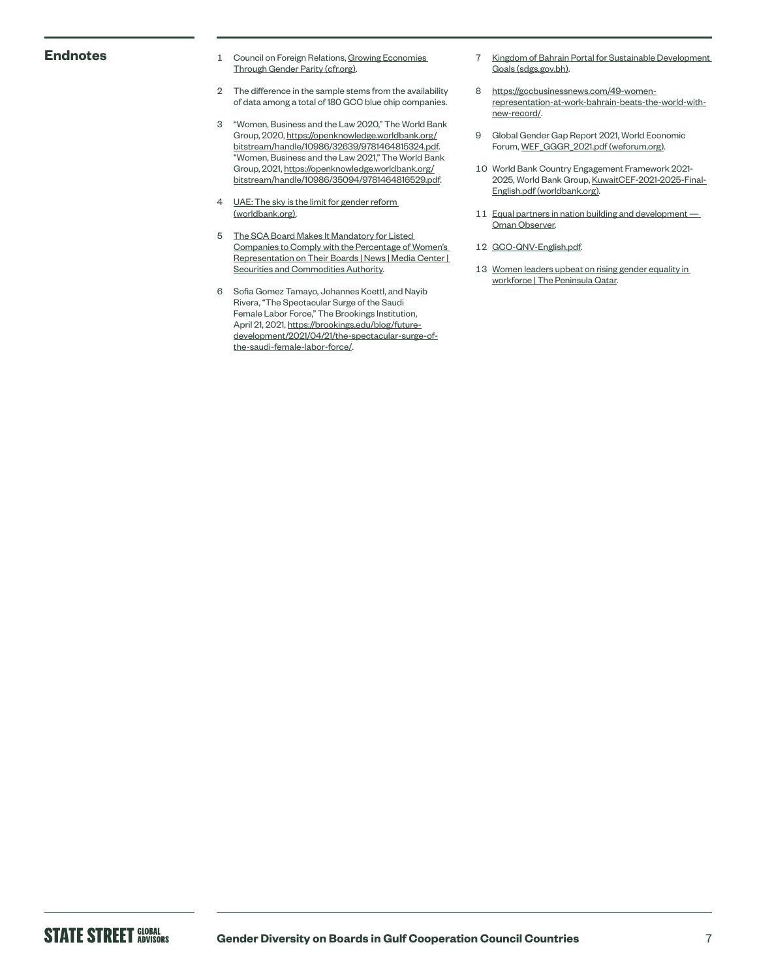- **Endnotes** 1 Council on Foreign Relations, Growing Economies [Through Gender Parity \(cfr.org\).](https://www.cfr.org/womens-participation-in-global-economy/)
	- 2 The difference in the sample stems from the availability of data among a total of 180 GCC blue chip companies.
	- 3 "Women, Business and the Law 2020," The World Bank Group, 2020, [https://openknowledge.worldbank.org/](https://openknowledge.worldbank.org/bitstream/handle/10986/32639/9781464815324.pdf) [bitstream/handle/10986/32639/9781464815324.pdf.](https://openknowledge.worldbank.org/bitstream/handle/10986/32639/9781464815324.pdf) "Women, Business and the Law 2021," The World Bank Group, 2021, [https://openknowledge.worldbank.org/](https://openknowledge.worldbank.org/bitstream/handle/10986/35094/9781464816529.pdf) [bitstream/handle/10986/35094/9781464816529.pdf](https://openknowledge.worldbank.org/bitstream/handle/10986/35094/9781464816529.pdf).
	- 4 UAE: The sky is the limit for gender reform [\(worldbank.org\).](https://blogs.worldbank.org/arabvoices/gender-reforms-united-arab-emirates)
	- 5 [The SCA Board Makes It Mandatory for Listed](https://www.sca.gov.ae/en/media-center/news/14/3/2021/board-of-directors-of-sca-approves-the-obligation-of-listed-companies-to-represent-women-in-the.aspx)  [Companies to Comply with the Percentage of Women's](https://www.sca.gov.ae/en/media-center/news/14/3/2021/board-of-directors-of-sca-approves-the-obligation-of-listed-companies-to-represent-women-in-the.aspx)  [Representation on Their Boards | News | Media Center |](https://www.sca.gov.ae/en/media-center/news/14/3/2021/board-of-directors-of-sca-approves-the-obligation-of-listed-companies-to-represent-women-in-the.aspx)  [Securities and Commodities Authority.](https://www.sca.gov.ae/en/media-center/news/14/3/2021/board-of-directors-of-sca-approves-the-obligation-of-listed-companies-to-represent-women-in-the.aspx)
	- 6 Sofia Gomez Tamayo, Johannes Koettl, and Nayib Rivera, "The Spectacular Surge of the Saudi Female Labor Force," The Brookings Institution, April 21, 2021, [https://brookings.edu/blog/future](https://www.brookings.edu/blog/future-development/2021/04/21/the-spectacular-surge-of-the-saudi-female-labor-force/)[development/2021/04/21/the-spectacular-surge-of](https://www.brookings.edu/blog/future-development/2021/04/21/the-spectacular-surge-of-the-saudi-female-labor-force/)[the-saudi-female-labor-force/.](https://www.brookings.edu/blog/future-development/2021/04/21/the-spectacular-surge-of-the-saudi-female-labor-force/)
- 7 [Kingdom of Bahrain Portal for Sustainable Development](https://www.sdgs.gov.bh/NewsDetails?nid=6yjAn8mpm6Mf1nDb3Lz4+g==)  [Goals \(sdgs.gov.bh\).](https://www.sdgs.gov.bh/NewsDetails?nid=6yjAn8mpm6Mf1nDb3Lz4+g==)
- 8 [https://gccbusinessnews.com/49-women](https://www.gccbusinessnews.com/49-women-representation-at-work-bahrain-beats-the-world-with-new-record/)[representation-at-work-bahrain-beats-the-world-with](https://www.gccbusinessnews.com/49-women-representation-at-work-bahrain-beats-the-world-with-new-record/)[new-record/.](https://www.gccbusinessnews.com/49-women-representation-at-work-bahrain-beats-the-world-with-new-record/)
- 9 Global Gender Gap Report 2021, World Economic Forum, [WEF\\_GGGR\\_2021.pdf \(weforum.org\)](https://www3.weforum.org/docs/WEF_GGGR_2021.pdf).
- 10 World Bank Country Engagement Framework 2021- 2025, World Bank Group, [KuwaitCEF-2021-2025-Final-](https://thedocs.worldbank.org/en/doc/06a7eba0bc51a01f8b1e4ba80be0bcdf-0280012021/original/KuwaitCEF-2021-2025-Final-English.pdf)[English.pdf \(worldbank.org\).](https://thedocs.worldbank.org/en/doc/06a7eba0bc51a01f8b1e4ba80be0bcdf-0280012021/original/KuwaitCEF-2021-2025-Final-English.pdf)
- 11 Equal partners in nation building and development -[Oman Observer.](https://www.omanobserver.om/article/9017/Front Stories/equal-partners-in-nation-building-and-development)
- 12 [GCO-QNV-English.pdf.](https://www.gco.gov.qa/wp-content/uploads/2016/09/GCO-QNV-English.pdf)
- 13 Women leaders upbeat on rising gender equality in [workforce | The Peninsula Qatar.](https://thepeninsulaqatar.com/article/17/06/2021/Women-leaders-upbeat-on-rising-gender-equality-in-workforce)